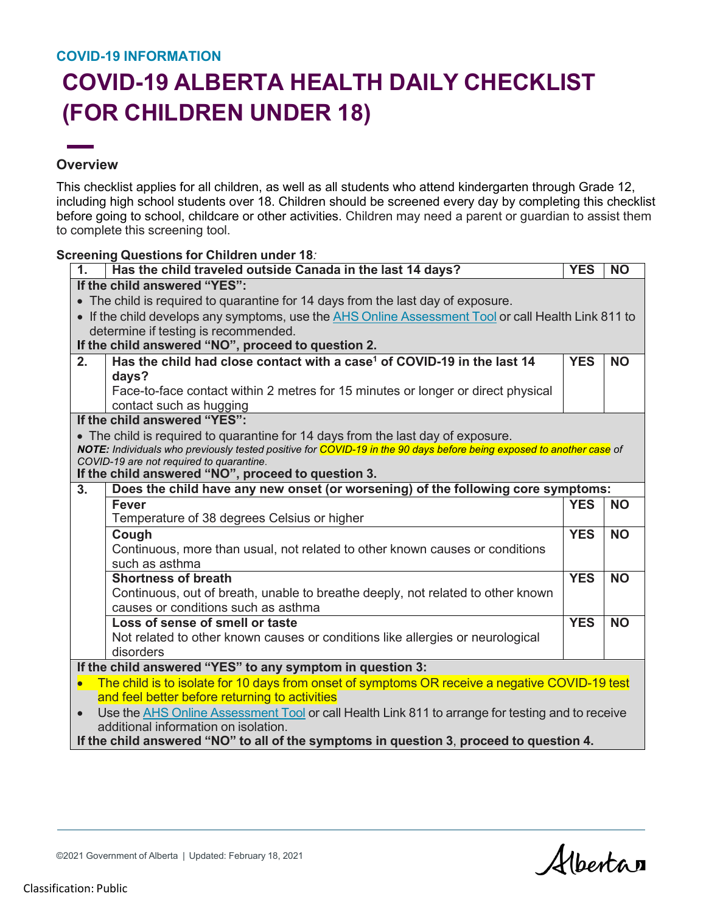## **COVID-19 INFORMATION**

## **COVID-19 ALBERTA HEALTH DAILY CHECKLIST (FOR CHILDREN UNDER 18)**

## **Overview**

This checklist applies for all children, as well as all students who attend kindergarten through Grade 12, including high school students over 18. Children should be screened every day by completing this checklist before going to school, childcare or other activities. Children may need a parent or guardian to assist them to complete this screening tool.

## **Screening Questions for Children under 18***:*

| 1.                                                                                                            | Has the child traveled outside Canada in the last 14 days?                                                           | <b>YES</b> | <b>NO</b> |  |  |  |
|---------------------------------------------------------------------------------------------------------------|----------------------------------------------------------------------------------------------------------------------|------------|-----------|--|--|--|
| If the child answered "YES":                                                                                  |                                                                                                                      |            |           |  |  |  |
| • The child is required to quarantine for 14 days from the last day of exposure.                              |                                                                                                                      |            |           |  |  |  |
| • If the child develops any symptoms, use the AHS Online Assessment Tool or call Health Link 811 to           |                                                                                                                      |            |           |  |  |  |
|                                                                                                               | determine if testing is recommended.                                                                                 |            |           |  |  |  |
| If the child answered "NO", proceed to question 2.                                                            |                                                                                                                      |            |           |  |  |  |
| 2.                                                                                                            | Has the child had close contact with a case <sup>1</sup> of COVID-19 in the last 14                                  | <b>YES</b> | <b>NO</b> |  |  |  |
|                                                                                                               | days?                                                                                                                |            |           |  |  |  |
|                                                                                                               | Face-to-face contact within 2 metres for 15 minutes or longer or direct physical                                     |            |           |  |  |  |
|                                                                                                               | contact such as hugging                                                                                              |            |           |  |  |  |
| If the child answered "YES":                                                                                  |                                                                                                                      |            |           |  |  |  |
|                                                                                                               | • The child is required to quarantine for 14 days from the last day of exposure.                                     |            |           |  |  |  |
|                                                                                                               | NOTE: Individuals who previously tested positive for COVID-19 in the 90 days before being exposed to another case of |            |           |  |  |  |
|                                                                                                               | COVID-19 are not required to quarantine.<br>If the child answered "NO", proceed to question 3.                       |            |           |  |  |  |
| 3.                                                                                                            | Does the child have any new onset (or worsening) of the following core symptoms:                                     |            |           |  |  |  |
|                                                                                                               | <b>Fever</b>                                                                                                         | <b>YES</b> | <b>NO</b> |  |  |  |
|                                                                                                               | Temperature of 38 degrees Celsius or higher                                                                          |            |           |  |  |  |
|                                                                                                               | Cough                                                                                                                | <b>YES</b> | <b>NO</b> |  |  |  |
|                                                                                                               | Continuous, more than usual, not related to other known causes or conditions                                         |            |           |  |  |  |
|                                                                                                               | such as asthma                                                                                                       |            |           |  |  |  |
|                                                                                                               | <b>Shortness of breath</b>                                                                                           | <b>YES</b> | <b>NO</b> |  |  |  |
|                                                                                                               | Continuous, out of breath, unable to breathe deeply, not related to other known                                      |            |           |  |  |  |
|                                                                                                               | causes or conditions such as asthma                                                                                  |            |           |  |  |  |
|                                                                                                               | Loss of sense of smell or taste                                                                                      | <b>YES</b> | <b>NO</b> |  |  |  |
|                                                                                                               | Not related to other known causes or conditions like allergies or neurological                                       |            |           |  |  |  |
|                                                                                                               | disorders                                                                                                            |            |           |  |  |  |
| If the child answered "YES" to any symptom in question 3:                                                     |                                                                                                                      |            |           |  |  |  |
| The child is to isolate for 10 days from onset of symptoms OR receive a negative COVID-19 test                |                                                                                                                      |            |           |  |  |  |
| and feel better before returning to activities                                                                |                                                                                                                      |            |           |  |  |  |
| Use the AHS Online Assessment Tool or call Health Link 811 to arrange for testing and to receive<br>$\bullet$ |                                                                                                                      |            |           |  |  |  |
| additional information on isolation.                                                                          |                                                                                                                      |            |           |  |  |  |
| If the child answered "NO" to all of the symptoms in question 3, proceed to question 4.                       |                                                                                                                      |            |           |  |  |  |

Albertan